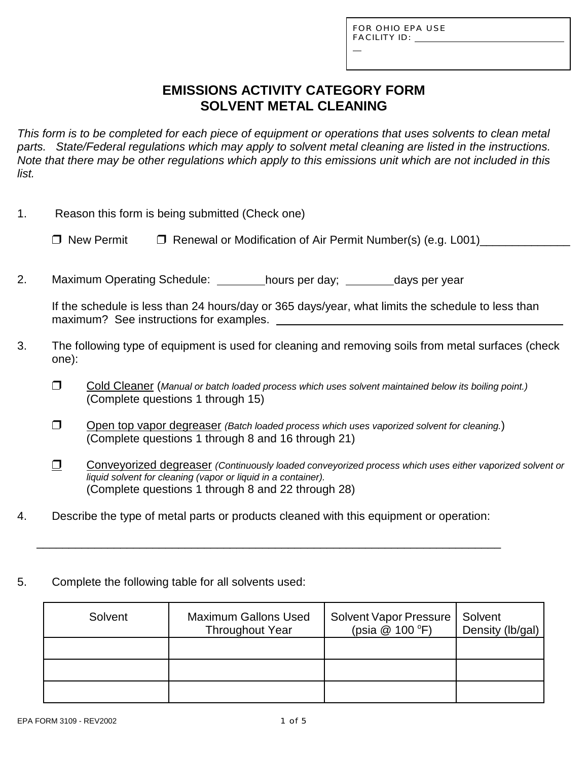L

# **EMISSIONS ACTIVITY CATEGORY FORM SOLVENT METAL CLEANING**

*This form is to be completed for each piece of equipment or operations that uses solvents to clean metal parts. State/Federal regulations which may apply to solvent metal cleaning are listed in the instructions. Note that there may be other regulations which apply to this emissions unit which are not included in this list.*

| 1. | Reason this form is being submitted (Check one) |
|----|-------------------------------------------------|
|----|-------------------------------------------------|

 $\Box$  New Permit  $\Box$  Renewal or Modification of Air Permit Number(s) (e.g. L001)

2. Maximum Operating Schedule: \_\_\_\_\_\_\_\_hours per day; \_\_\_\_\_\_\_days per year

If the schedule is less than 24 hours/day or 365 days/year, what limits the schedule to less than maximum? See instructions for examples.

- 3. The following type of equipment is used for cleaning and removing soils from metal surfaces (check one):
	- " Cold Cleaner (*Manual or batch loaded process which uses solvent maintained below its boiling point.)* (Complete questions 1 through 15)
	- **T** Open top vapor degreaser *(Batch loaded process which uses vaporized solvent for cleaning.)* (Complete questions 1 through 8 and 16 through 21)
	- $\Box$  Conveyorized degreaser *(Continuously loaded conveyorized process which uses either vaporized solvent or liquid solvent for cleaning (vapor or liquid in a container).* (Complete questions 1 through 8 and 22 through 28)
- 4. Describe the type of metal parts or products cleaned with this equipment or operation:

\_\_\_\_\_\_\_\_\_\_\_\_\_\_\_\_\_\_\_\_\_\_\_\_\_\_\_\_\_\_\_\_\_\_\_\_\_\_\_\_\_\_\_\_\_\_\_\_\_\_\_\_\_\_\_\_\_\_\_\_\_\_\_\_\_\_\_\_\_\_\_\_

5. Complete the following table for all solvents used:

| Solvent | <b>Maximum Gallons Used</b><br><b>Throughout Year</b> | Solvent Vapor Pressure   Solvent<br>(psia @ 100 °F) | Density (lb/gal) |
|---------|-------------------------------------------------------|-----------------------------------------------------|------------------|
|         |                                                       |                                                     |                  |
|         |                                                       |                                                     |                  |
|         |                                                       |                                                     |                  |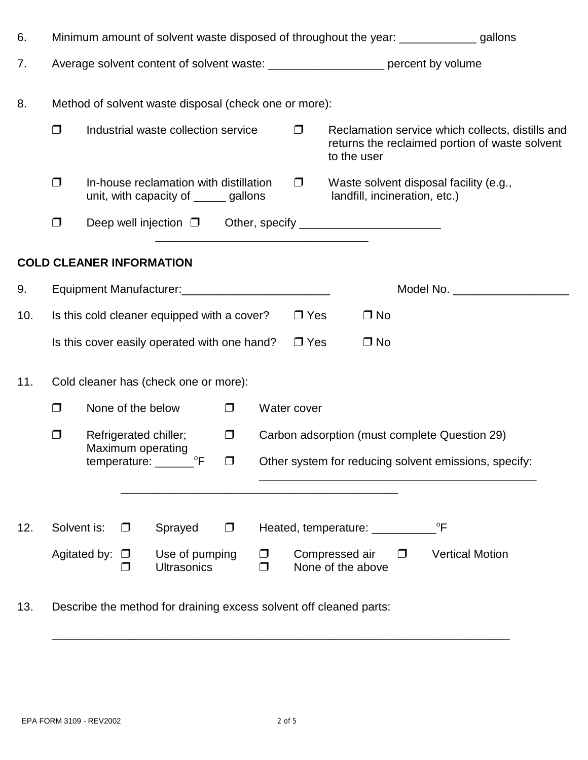| 6.  | Minimum amount of solvent waste disposed of throughout the year: _______________ gallons |              |                   |                                                                                   |        |             |            |                                     |        |                                                                                                    |
|-----|------------------------------------------------------------------------------------------|--------------|-------------------|-----------------------------------------------------------------------------------|--------|-------------|------------|-------------------------------------|--------|----------------------------------------------------------------------------------------------------|
| 7.  |                                                                                          |              |                   | Average solvent content of solvent waste: _____________________ percent by volume |        |             |            |                                     |        |                                                                                                    |
| 8.  |                                                                                          |              |                   | Method of solvent waste disposal (check one or more):                             |        |             |            |                                     |        |                                                                                                    |
|     | $\Box$                                                                                   |              |                   | Industrial waste collection service                                               |        |             | $\Box$     | to the user                         |        | Reclamation service which collects, distills and<br>returns the reclaimed portion of waste solvent |
|     | $\Box$                                                                                   |              |                   | In-house reclamation with distillation<br>unit, with capacity of ______ gallons   |        |             | $\Box$     | landfill, incineration, etc.)       |        | Waste solvent disposal facility (e.g.,                                                             |
|     | $\Box$                                                                                   |              |                   |                                                                                   |        |             |            |                                     |        |                                                                                                    |
|     |                                                                                          |              |                   | <b>COLD CLEANER INFORMATION</b>                                                   |        |             |            |                                     |        |                                                                                                    |
| 9.  |                                                                                          |              |                   |                                                                                   |        |             |            |                                     |        | Model No.                                                                                          |
| 10. |                                                                                          |              |                   | Is this cold cleaner equipped with a cover?                                       |        |             | $\Box$ Yes | $\Box$ No                           |        |                                                                                                    |
|     |                                                                                          |              |                   | Is this cover easily operated with one hand?                                      |        |             | $\Box$ Yes | $\Box$ No                           |        |                                                                                                    |
| 11. |                                                                                          |              |                   | Cold cleaner has (check one or more):                                             |        |             |            |                                     |        |                                                                                                    |
|     | ▢                                                                                        |              | None of the below |                                                                                   | $\Box$ | Water cover |            |                                     |        |                                                                                                    |
|     | ▢                                                                                        |              |                   | Refrigerated chiller;                                                             | $\Box$ |             |            |                                     |        | Carbon adsorption (must complete Question 29)                                                      |
|     |                                                                                          |              |                   | Maximum operating<br>temperature: __________°F $\Box$                             |        |             |            |                                     |        | Other system for reducing solvent emissions, specify:                                              |
|     |                                                                                          |              |                   |                                                                                   |        |             |            |                                     |        |                                                                                                    |
| 12. | Solvent is:                                                                              |              | $\Box$            | Sprayed                                                                           | $\Box$ |             |            | Heated, temperature: _______        |        | $\overline{P}$                                                                                     |
|     |                                                                                          | Agitated by: | $\Box$<br>$\Box$  | Use of pumping<br><b>Ultrasonics</b>                                              |        | ▢<br>$\Box$ |            | Compressed air<br>None of the above | $\Box$ | <b>Vertical Motion</b>                                                                             |

13. Describe the method for draining excess solvent off cleaned parts:

\_\_\_\_\_\_\_\_\_\_\_\_\_\_\_\_\_\_\_\_\_\_\_\_\_\_\_\_\_\_\_\_\_\_\_\_\_\_\_\_\_\_\_\_\_\_\_\_\_\_\_\_\_\_\_\_\_\_\_\_\_\_\_\_\_\_\_\_\_\_\_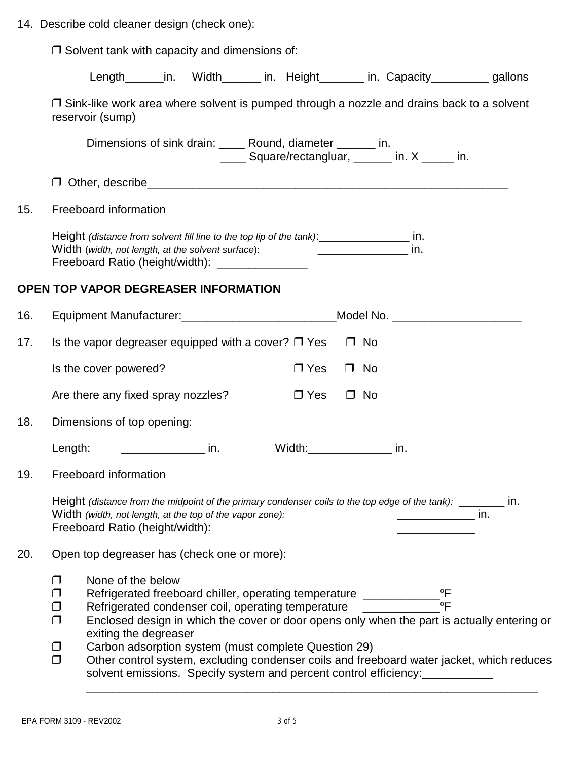|  | 14. Describe cold cleaner design (check one): |  |  |  |  |  |  |
|--|-----------------------------------------------|--|--|--|--|--|--|
|--|-----------------------------------------------|--|--|--|--|--|--|

|     | $\Box$ Solvent tank with capacity and dimensions of:                                                                                                                                                                                                                                                                                                                                                                                                                                                                                                                                                                                              |
|-----|---------------------------------------------------------------------------------------------------------------------------------------------------------------------------------------------------------------------------------------------------------------------------------------------------------------------------------------------------------------------------------------------------------------------------------------------------------------------------------------------------------------------------------------------------------------------------------------------------------------------------------------------------|
|     | Length_______in. Width_______ in. Height________ in. Capacity__________ gallons                                                                                                                                                                                                                                                                                                                                                                                                                                                                                                                                                                   |
|     | $\Box$ Sink-like work area where solvent is pumped through a nozzle and drains back to a solvent<br>reservoir (sump)                                                                                                                                                                                                                                                                                                                                                                                                                                                                                                                              |
|     | Dimensions of sink drain: _____ Round, diameter _______ in.<br>_____ Square/rectangluar, ______ in. X _____ in.                                                                                                                                                                                                                                                                                                                                                                                                                                                                                                                                   |
|     | $\Box$                                                                                                                                                                                                                                                                                                                                                                                                                                                                                                                                                                                                                                            |
| 15. | Freeboard information                                                                                                                                                                                                                                                                                                                                                                                                                                                                                                                                                                                                                             |
|     | Height (distance from solvent fill line to the top lip of the tank):<br>in.<br>Width (width, not length, at the solvent surface):<br>in.<br>Freeboard Ratio (height/width): __________________                                                                                                                                                                                                                                                                                                                                                                                                                                                    |
|     | OPEN TOP VAPOR DEGREASER INFORMATION                                                                                                                                                                                                                                                                                                                                                                                                                                                                                                                                                                                                              |
| 16. | Equipment Manufacturer: _____________________________Model No. _________________                                                                                                                                                                                                                                                                                                                                                                                                                                                                                                                                                                  |
| 17. | Is the vapor degreaser equipped with a cover? $\Box$ Yes<br>$\Box$ No                                                                                                                                                                                                                                                                                                                                                                                                                                                                                                                                                                             |
|     | Is the cover powered?<br>$\Box$ Yes<br>$\Box$ No                                                                                                                                                                                                                                                                                                                                                                                                                                                                                                                                                                                                  |
|     | $\Box$ Yes<br>Are there any fixed spray nozzles?<br>$\Box$ No                                                                                                                                                                                                                                                                                                                                                                                                                                                                                                                                                                                     |
| 18. | Dimensions of top opening:                                                                                                                                                                                                                                                                                                                                                                                                                                                                                                                                                                                                                        |
|     | Width:___________________ in.<br>Length: $\frac{1}{2}$ in.                                                                                                                                                                                                                                                                                                                                                                                                                                                                                                                                                                                        |
| 19. | Freeboard information                                                                                                                                                                                                                                                                                                                                                                                                                                                                                                                                                                                                                             |
|     | Height (distance from the midpoint of the primary condenser coils to the top edge of the tank): _______ in.<br>Width (width, not length, at the top of the vapor zone):<br>$\frac{1}{\sqrt{1-\frac{1}{2}}}\frac{1}{\sqrt{1-\frac{1}{2}}}\sin \frac{2\pi i}{\sqrt{1-\frac{1}{2}}}\sin \frac{2\pi i}{\sqrt{1-\frac{1}{2}}}\sin \frac{2\pi i}{\sqrt{1-\frac{1}{2}}}\sin \frac{2\pi i}{\sqrt{1-\frac{1}{2}}}\sin \frac{2\pi i}{\sqrt{1-\frac{1}{2}}}\sin \frac{2\pi i}{\sqrt{1-\frac{1}{2}}}\sin \frac{2\pi i}{\sqrt{1-\frac{1}{2}}}\sin \frac{2\pi i}{\sqrt{1-\frac{1}{2}}}\sin \frac{2\pi i}{\sqrt{1-\frac{1}{2$<br>Freeboard Ratio (height/width): |
| 20. | Open top degreaser has (check one or more):                                                                                                                                                                                                                                                                                                                                                                                                                                                                                                                                                                                                       |
|     | None of the below<br>$\Box$<br>Refrigerated freeboard chiller, operating temperature __________________________<br>Refrigerated condenser coil, operating temperature _____________________________<br>▢<br>$\Box$<br>Enclosed design in which the cover or door opens only when the part is actually entering or<br>$\Box$<br>exiting the degreaser<br>Carbon adsorption system (must complete Question 29)<br>$\Box$<br>$\Box$<br>Other control system, excluding condenser coils and freeboard water jacket, which reduces<br>solvent emissions. Specify system and percent control efficiency:                                                |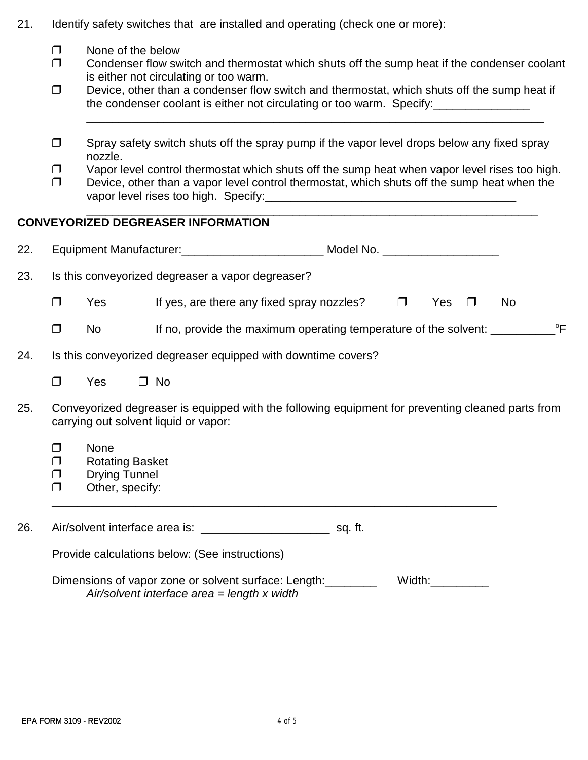- 21. Identify safety switches that are installed and operating (check one or more):
	- $\Box$  None of the below
	- $\Box$  Condenser flow switch and thermostat which shuts off the sump heat if the condenser coolant is either not circulating or too warm.
	- $\Box$  Device, other than a condenser flow switch and thermostat, which shuts off the sump heat if the condenser coolant is either not circulating or too warm. Specify:

\_\_\_\_\_\_\_\_\_\_\_\_\_\_\_\_\_\_\_\_\_\_\_\_\_\_\_\_\_\_\_\_\_\_\_\_\_\_\_\_\_\_\_\_\_\_\_\_\_\_\_\_\_\_\_\_\_\_\_\_\_\_\_\_\_\_\_\_\_\_\_

- $\Box$  Spray safety switch shuts off the spray pump if the vapor level drops below any fixed spray nozzle.
- $\Box$  Vapor level control thermostat which shuts off the sump heat when vapor level rises too high.
- $\Box$  Device, other than a vapor level control thermostat, which shuts off the sump heat when the vapor level rises too high. Specify: vapor level rises too high. Specify:

\_\_\_\_\_\_\_\_\_\_\_\_\_\_\_\_\_\_\_\_\_\_\_\_\_\_\_\_\_\_\_\_\_\_\_\_\_\_\_\_\_\_\_\_\_\_\_\_\_\_\_\_\_\_\_\_\_\_\_\_\_\_\_\_\_\_\_\_\_\_

### **CONVEYORIZED DEGREASER INFORMATION**

| 22.                                                                                                                                               |                                                               |                                                                                  |  |                                                                                                       |  |        |        |        |              |
|---------------------------------------------------------------------------------------------------------------------------------------------------|---------------------------------------------------------------|----------------------------------------------------------------------------------|--|-------------------------------------------------------------------------------------------------------|--|--------|--------|--------|--------------|
| 23.                                                                                                                                               |                                                               |                                                                                  |  | Is this conveyorized degreaser a vapor degreaser?                                                     |  |        |        |        |              |
|                                                                                                                                                   | $\Box$                                                        | <b>Yes</b>                                                                       |  | If yes, are there any fixed spray nozzles?                                                            |  | $\Box$ | Yes    | $\Box$ | No           |
|                                                                                                                                                   | $\Box$                                                        | No                                                                               |  | If no, provide the maximum operating temperature of the solvent: _________                            |  |        |        |        | $^{\circ}$ F |
| 24.                                                                                                                                               | Is this conveyorized degreaser equipped with downtime covers? |                                                                                  |  |                                                                                                       |  |        |        |        |              |
|                                                                                                                                                   | $\Box$                                                        | Yes                                                                              |  | $\Box$ No                                                                                             |  |        |        |        |              |
| 25.<br>Conveyorized degreaser is equipped with the following equipment for preventing cleaned parts from<br>carrying out solvent liquid or vapor: |                                                               |                                                                                  |  |                                                                                                       |  |        |        |        |              |
|                                                                                                                                                   | ▢<br>$\Box$<br>$\Box$<br>$\Box$                               | <b>None</b><br><b>Rotating Basket</b><br><b>Drying Tunnel</b><br>Other, specify: |  |                                                                                                       |  |        |        |        |              |
| 26.                                                                                                                                               |                                                               |                                                                                  |  |                                                                                                       |  |        |        |        |              |
|                                                                                                                                                   | Provide calculations below: (See instructions)                |                                                                                  |  |                                                                                                       |  |        |        |        |              |
|                                                                                                                                                   |                                                               |                                                                                  |  | Dimensions of vapor zone or solvent surface: Length:<br>Air/solvent interface area $=$ length x width |  |        | Width: |        |              |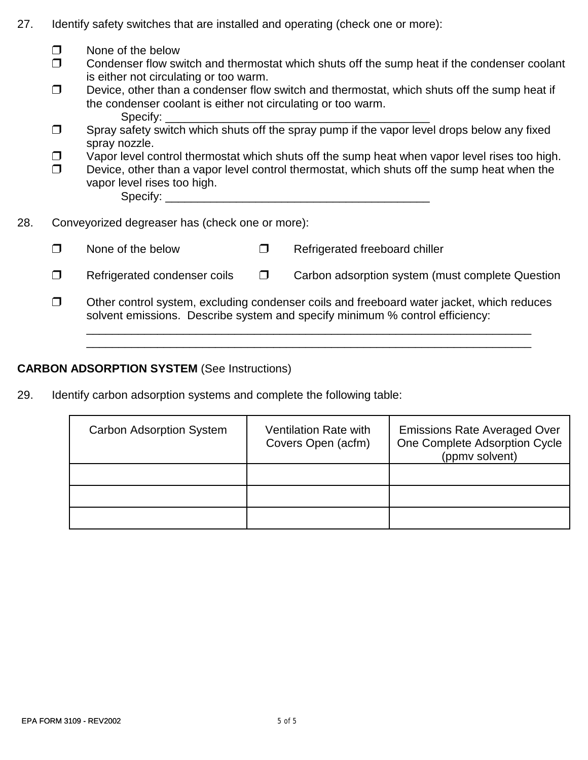| 27. |  |  | Identify safety switches that are installed and operating (check one or more): |  |  |  |
|-----|--|--|--------------------------------------------------------------------------------|--|--|--|
|-----|--|--|--------------------------------------------------------------------------------|--|--|--|

|     | ⊓      | None of the below<br>Condenser flow switch and thermostat which shuts off the sump heat if the condenser coolant                                                                                                            |        |                                                  |  |  |  |  |  |  |
|-----|--------|-----------------------------------------------------------------------------------------------------------------------------------------------------------------------------------------------------------------------------|--------|--------------------------------------------------|--|--|--|--|--|--|
|     | ⊓      | is either not circulating or too warm.<br>Device, other than a condenser flow switch and thermostat, which shuts off the sump heat if<br>the condenser coolant is either not circulating or too warm.<br>Specify: $\Box$    |        |                                                  |  |  |  |  |  |  |
|     | $\Box$ | Spray safety switch which shuts off the spray pump if the vapor level drops below any fixed<br>spray nozzle.                                                                                                                |        |                                                  |  |  |  |  |  |  |
|     | $\Box$ | Vapor level control thermostat which shuts off the sump heat when vapor level rises too high.<br>Device, other than a vapor level control thermostat, which shuts off the sump heat when the<br>vapor level rises too high. |        |                                                  |  |  |  |  |  |  |
| 28. |        | Conveyorized degreaser has (check one or more):                                                                                                                                                                             |        |                                                  |  |  |  |  |  |  |
|     | $\Box$ | None of the below                                                                                                                                                                                                           | $\Box$ | Refrigerated freeboard chiller                   |  |  |  |  |  |  |
|     | $\Box$ | Refrigerated condenser coils                                                                                                                                                                                                | $\Box$ | Carbon adsorption system (must complete Question |  |  |  |  |  |  |
|     | □      | Other control system, excluding condenser coils and freeboard water jacket, which reduces<br>solvent emissions. Describe system and specify minimum % control efficiency:                                                   |        |                                                  |  |  |  |  |  |  |
|     |        |                                                                                                                                                                                                                             |        |                                                  |  |  |  |  |  |  |

## **CARBON ADSORPTION SYSTEM** (See Instructions)

29. Identify carbon adsorption systems and complete the following table:

| <b>Carbon Adsorption System</b> | <b>Ventilation Rate with</b><br>Covers Open (acfm) | <b>Emissions Rate Averaged Over</b><br>One Complete Adsorption Cycle<br>(ppmv solvent) |
|---------------------------------|----------------------------------------------------|----------------------------------------------------------------------------------------|
|                                 |                                                    |                                                                                        |
|                                 |                                                    |                                                                                        |
|                                 |                                                    |                                                                                        |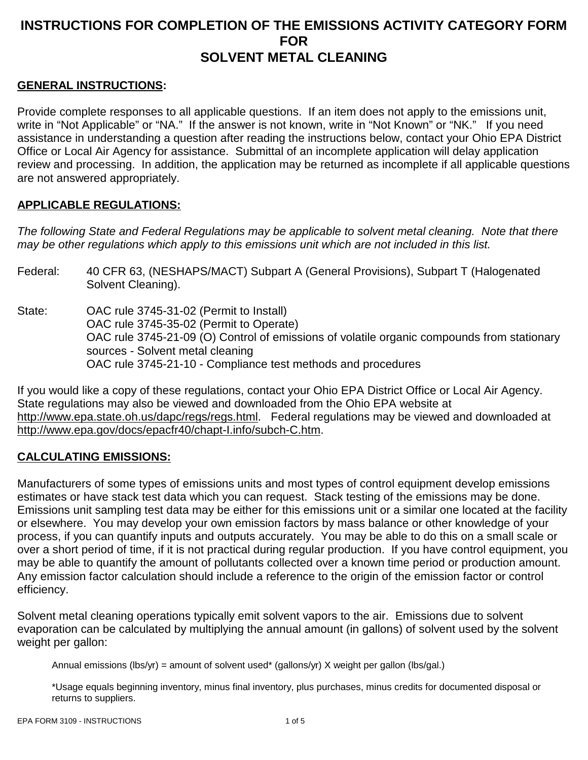## **INSTRUCTIONS FOR COMPLETION OF THE EMISSIONS ACTIVITY CATEGORY FORM FOR SOLVENT METAL CLEANING**

#### **GENERAL INSTRUCTIONS:**

Provide complete responses to all applicable questions. If an item does not apply to the emissions unit, write in "Not Applicable" or "NA." If the answer is not known, write in "Not Known" or "NK." If you need assistance in understanding a question after reading the instructions below, contact your Ohio EPA District Office or Local Air Agency for assistance. Submittal of an incomplete application will delay application review and processing. In addition, the application may be returned as incomplete if all applicable questions are not answered appropriately.

#### **APPLICABLE REGULATIONS:**

*The following State and Federal Regulations may be applicable to solvent metal cleaning. Note that there may be other regulations which apply to this emissions unit which are not included in this list.*

- Federal: 40 CFR 63, (NESHAPS/MACT) Subpart A (General Provisions), Subpart T (Halogenated Solvent Cleaning).
- State: OAC rule 3745-31-02 (Permit to Install) OAC rule 3745-35-02 (Permit to Operate) OAC rule 3745-21-09 (O) Control of emissions of volatile organic compounds from stationary sources - Solvent metal cleaning OAC rule 3745-21-10 - Compliance test methods and procedures

If you would like a copy of these regulations, contact your Ohio EPA District Office or Local Air Agency. State regulations may also be viewed and downloaded from the Ohio EPA website at http://www.epa.state.oh.us/dapc/regs/regs.html. Federal regulations may be viewed and downloaded at http://www.epa.gov/docs/epacfr40/chapt-I.info/subch-C.htm.

#### **CALCULATING EMISSIONS:**

Manufacturers of some types of emissions units and most types of control equipment develop emissions estimates or have stack test data which you can request. Stack testing of the emissions may be done. Emissions unit sampling test data may be either for this emissions unit or a similar one located at the facility or elsewhere. You may develop your own emission factors by mass balance or other knowledge of your process, if you can quantify inputs and outputs accurately. You may be able to do this on a small scale or over a short period of time, if it is not practical during regular production. If you have control equipment, you may be able to quantify the amount of pollutants collected over a known time period or production amount. Any emission factor calculation should include a reference to the origin of the emission factor or control efficiency.

Solvent metal cleaning operations typically emit solvent vapors to the air. Emissions due to solvent evaporation can be calculated by multiplying the annual amount (in gallons) of solvent used by the solvent weight per gallon:

Annual emissions (lbs/yr) = amount of solvent used\* (gallons/yr) X weight per gallon (lbs/gal.)

\*Usage equals beginning inventory, minus final inventory, plus purchases, minus credits for documented disposal or returns to suppliers.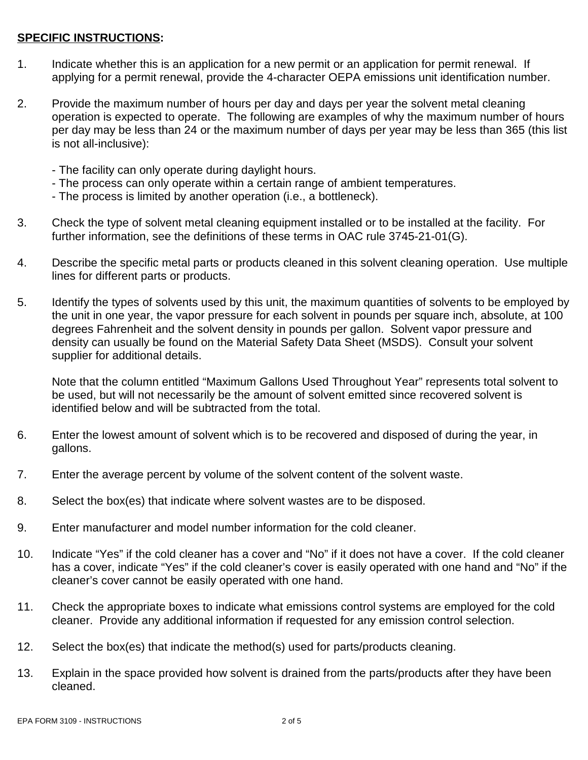#### **SPECIFIC INSTRUCTIONS:**

- 1. Indicate whether this is an application for a new permit or an application for permit renewal. If applying for a permit renewal, provide the 4-character OEPA emissions unit identification number.
- 2. Provide the maximum number of hours per day and days per year the solvent metal cleaning operation is expected to operate. The following are examples of why the maximum number of hours per day may be less than 24 or the maximum number of days per year may be less than 365 (this list is not all-inclusive):
	- The facility can only operate during daylight hours.
	- The process can only operate within a certain range of ambient temperatures.
	- The process is limited by another operation (i.e., a bottleneck).
- 3. Check the type of solvent metal cleaning equipment installed or to be installed at the facility. For further information, see the definitions of these terms in OAC rule 3745-21-01(G).
- 4. Describe the specific metal parts or products cleaned in this solvent cleaning operation. Use multiple lines for different parts or products.
- 5. Identify the types of solvents used by this unit, the maximum quantities of solvents to be employed by the unit in one year, the vapor pressure for each solvent in pounds per square inch, absolute, at 100 degrees Fahrenheit and the solvent density in pounds per gallon. Solvent vapor pressure and density can usually be found on the Material Safety Data Sheet (MSDS). Consult your solvent supplier for additional details.

Note that the column entitled "Maximum Gallons Used Throughout Year" represents total solvent to be used, but will not necessarily be the amount of solvent emitted since recovered solvent is identified below and will be subtracted from the total.

- 6. Enter the lowest amount of solvent which is to be recovered and disposed of during the year, in gallons.
- 7. Enter the average percent by volume of the solvent content of the solvent waste.
- 8. Select the box(es) that indicate where solvent wastes are to be disposed.
- 9. Enter manufacturer and model number information for the cold cleaner.
- 10. Indicate "Yes" if the cold cleaner has a cover and "No" if it does not have a cover. If the cold cleaner has a cover, indicate "Yes" if the cold cleaner's cover is easily operated with one hand and "No" if the cleaner's cover cannot be easily operated with one hand.
- 11. Check the appropriate boxes to indicate what emissions control systems are employed for the cold cleaner. Provide any additional information if requested for any emission control selection.
- 12. Select the box(es) that indicate the method(s) used for parts/products cleaning.
- 13. Explain in the space provided how solvent is drained from the parts/products after they have been cleaned.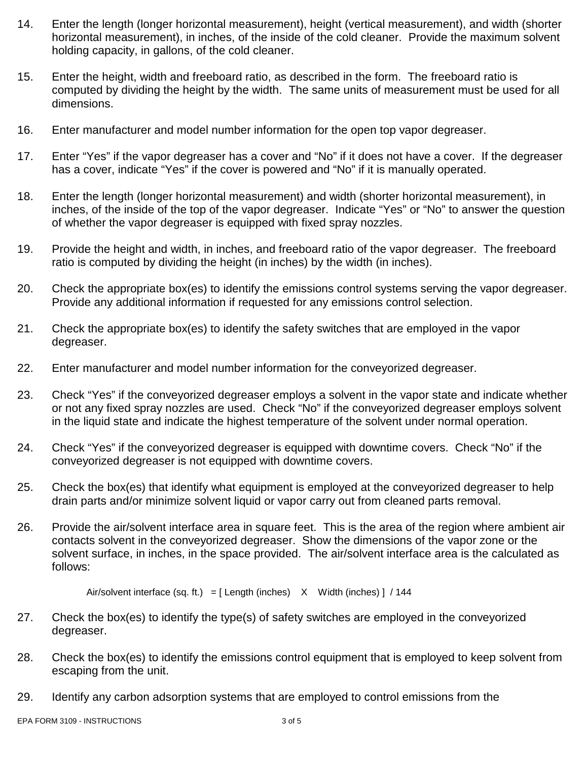- 14. Enter the length (longer horizontal measurement), height (vertical measurement), and width (shorter horizontal measurement), in inches, of the inside of the cold cleaner. Provide the maximum solvent holding capacity, in gallons, of the cold cleaner.
- 15. Enter the height, width and freeboard ratio, as described in the form. The freeboard ratio is computed by dividing the height by the width. The same units of measurement must be used for all dimensions.
- 16. Enter manufacturer and model number information for the open top vapor degreaser.
- 17. Enter "Yes" if the vapor degreaser has a cover and "No" if it does not have a cover. If the degreaser has a cover, indicate "Yes" if the cover is powered and "No" if it is manually operated.
- 18. Enter the length (longer horizontal measurement) and width (shorter horizontal measurement), in inches, of the inside of the top of the vapor degreaser. Indicate "Yes" or "No" to answer the question of whether the vapor degreaser is equipped with fixed spray nozzles.
- 19. Provide the height and width, in inches, and freeboard ratio of the vapor degreaser. The freeboard ratio is computed by dividing the height (in inches) by the width (in inches).
- 20. Check the appropriate box(es) to identify the emissions control systems serving the vapor degreaser. Provide any additional information if requested for any emissions control selection.
- 21. Check the appropriate box(es) to identify the safety switches that are employed in the vapor degreaser.
- 22. Enter manufacturer and model number information for the conveyorized degreaser.
- 23. Check "Yes" if the conveyorized degreaser employs a solvent in the vapor state and indicate whether or not any fixed spray nozzles are used. Check "No" if the conveyorized degreaser employs solvent in the liquid state and indicate the highest temperature of the solvent under normal operation.
- 24. Check "Yes" if the conveyorized degreaser is equipped with downtime covers. Check "No" if the conveyorized degreaser is not equipped with downtime covers.
- 25. Check the box(es) that identify what equipment is employed at the conveyorized degreaser to help drain parts and/or minimize solvent liquid or vapor carry out from cleaned parts removal.
- 26. Provide the air/solvent interface area in square feet. This is the area of the region where ambient air contacts solvent in the conveyorized degreaser. Show the dimensions of the vapor zone or the solvent surface, in inches, in the space provided. The air/solvent interface area is the calculated as follows:

Air/solvent interface (sq. ft.) =  $[$  Length (inches)  $X$  Width (inches)  $]$  / 144

- 27. Check the box(es) to identify the type(s) of safety switches are employed in the conveyorized degreaser.
- 28. Check the box(es) to identify the emissions control equipment that is employed to keep solvent from escaping from the unit.
- 29. Identify any carbon adsorption systems that are employed to control emissions from the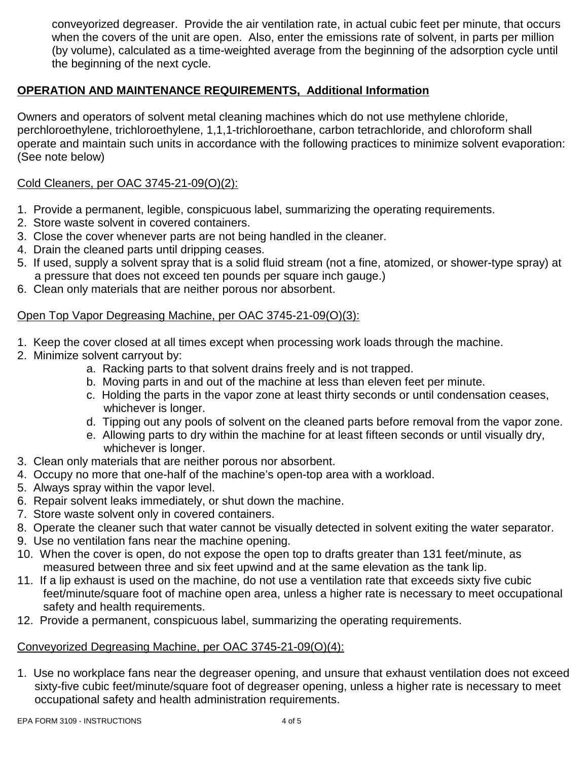conveyorized degreaser. Provide the air ventilation rate, in actual cubic feet per minute, that occurs when the covers of the unit are open. Also, enter the emissions rate of solvent, in parts per million (by volume), calculated as a time-weighted average from the beginning of the adsorption cycle until the beginning of the next cycle.

### **OPERATION AND MAINTENANCE REQUIREMENTS, Additional Information**

Owners and operators of solvent metal cleaning machines which do not use methylene chloride, perchloroethylene, trichloroethylene, 1,1,1-trichloroethane, carbon tetrachloride, and chloroform shall operate and maintain such units in accordance with the following practices to minimize solvent evaporation: (See note below)

#### Cold Cleaners, per OAC 3745-21-09(O)(2):

- 1. Provide a permanent, legible, conspicuous label, summarizing the operating requirements.
- 2. Store waste solvent in covered containers.
- 3. Close the cover whenever parts are not being handled in the cleaner.
- 4. Drain the cleaned parts until dripping ceases.
- 5. If used, supply a solvent spray that is a solid fluid stream (not a fine, atomized, or shower-type spray) at a pressure that does not exceed ten pounds per square inch gauge.)
- 6. Clean only materials that are neither porous nor absorbent.

#### Open Top Vapor Degreasing Machine, per OAC 3745-21-09(O)(3):

- 1. Keep the cover closed at all times except when processing work loads through the machine.
- 2. Minimize solvent carryout by:
	- a. Racking parts to that solvent drains freely and is not trapped.
	- b. Moving parts in and out of the machine at less than eleven feet per minute.
	- c. Holding the parts in the vapor zone at least thirty seconds or until condensation ceases, whichever is longer.
	- d. Tipping out any pools of solvent on the cleaned parts before removal from the vapor zone.
	- e. Allowing parts to dry within the machine for at least fifteen seconds or until visually dry, whichever is longer.
- 3. Clean only materials that are neither porous nor absorbent.
- 4. Occupy no more that one-half of the machine's open-top area with a workload.
- 5. Always spray within the vapor level.
- 6. Repair solvent leaks immediately, or shut down the machine.
- 7. Store waste solvent only in covered containers.
- 8. Operate the cleaner such that water cannot be visually detected in solvent exiting the water separator.
- 9. Use no ventilation fans near the machine opening.
- 10. When the cover is open, do not expose the open top to drafts greater than 131 feet/minute, as measured between three and six feet upwind and at the same elevation as the tank lip.
- 11. If a lip exhaust is used on the machine, do not use a ventilation rate that exceeds sixty five cubic feet/minute/square foot of machine open area, unless a higher rate is necessary to meet occupational safety and health requirements.
- 12. Provide a permanent, conspicuous label, summarizing the operating requirements.

#### Conveyorized Degreasing Machine, per OAC 3745-21-09(O)(4):

1. Use no workplace fans near the degreaser opening, and unsure that exhaust ventilation does not exceed sixty-five cubic feet/minute/square foot of degreaser opening, unless a higher rate is necessary to meet occupational safety and health administration requirements.